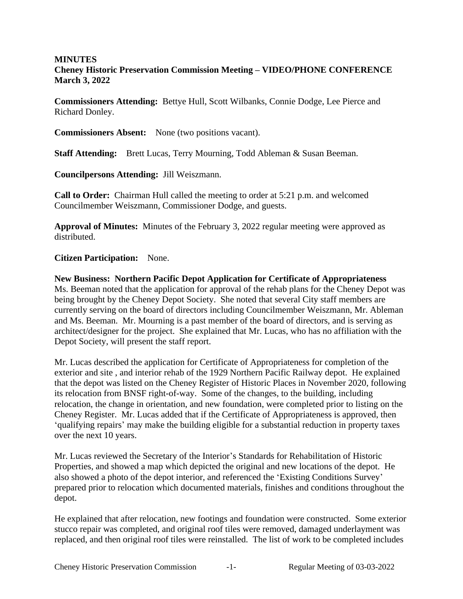## **MINUTES Cheney Historic Preservation Commission Meeting – VIDEO/PHONE CONFERENCE March 3, 2022**

**Commissioners Attending:** Bettye Hull, Scott Wilbanks, Connie Dodge, Lee Pierce and Richard Donley.

**Commissioners Absent:** None (two positions vacant).

**Staff Attending:** Brett Lucas, Terry Mourning, Todd Ableman & Susan Beeman.

**Councilpersons Attending:** Jill Weiszmann.

**Call to Order:** Chairman Hull called the meeting to order at 5:21 p.m. and welcomed Councilmember Weiszmann, Commissioner Dodge, and guests.

**Approval of Minutes:** Minutes of the February 3, 2022 regular meeting were approved as distributed.

## **Citizen Participation:** None.

**New Business: Northern Pacific Depot Application for Certificate of Appropriateness** Ms. Beeman noted that the application for approval of the rehab plans for the Cheney Depot was being brought by the Cheney Depot Society. She noted that several City staff members are currently serving on the board of directors including Councilmember Weiszmann, Mr. Ableman and Ms. Beeman. Mr. Mourning is a past member of the board of directors, and is serving as architect/designer for the project. She explained that Mr. Lucas, who has no affiliation with the Depot Society, will present the staff report.

Mr. Lucas described the application for Certificate of Appropriateness for completion of the exterior and site , and interior rehab of the 1929 Northern Pacific Railway depot. He explained that the depot was listed on the Cheney Register of Historic Places in November 2020, following its relocation from BNSF right-of-way. Some of the changes, to the building, including relocation, the change in orientation, and new foundation, were completed prior to listing on the Cheney Register. Mr. Lucas added that if the Certificate of Appropriateness is approved, then 'qualifying repairs' may make the building eligible for a substantial reduction in property taxes over the next 10 years.

Mr. Lucas reviewed the Secretary of the Interior's Standards for Rehabilitation of Historic Properties, and showed a map which depicted the original and new locations of the depot. He also showed a photo of the depot interior, and referenced the 'Existing Conditions Survey' prepared prior to relocation which documented materials, finishes and conditions throughout the depot.

He explained that after relocation, new footings and foundation were constructed. Some exterior stucco repair was completed, and original roof tiles were removed, damaged underlayment was replaced, and then original roof tiles were reinstalled. The list of work to be completed includes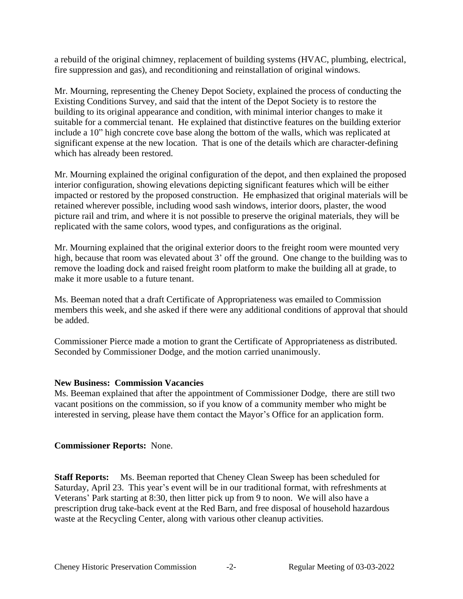a rebuild of the original chimney, replacement of building systems (HVAC, plumbing, electrical, fire suppression and gas), and reconditioning and reinstallation of original windows.

Mr. Mourning, representing the Cheney Depot Society, explained the process of conducting the Existing Conditions Survey, and said that the intent of the Depot Society is to restore the building to its original appearance and condition, with minimal interior changes to make it suitable for a commercial tenant. He explained that distinctive features on the building exterior include a 10" high concrete cove base along the bottom of the walls, which was replicated at significant expense at the new location. That is one of the details which are character-defining which has already been restored.

Mr. Mourning explained the original configuration of the depot, and then explained the proposed interior configuration, showing elevations depicting significant features which will be either impacted or restored by the proposed construction. He emphasized that original materials will be retained wherever possible, including wood sash windows, interior doors, plaster, the wood picture rail and trim, and where it is not possible to preserve the original materials, they will be replicated with the same colors, wood types, and configurations as the original.

Mr. Mourning explained that the original exterior doors to the freight room were mounted very high, because that room was elevated about 3' off the ground. One change to the building was to remove the loading dock and raised freight room platform to make the building all at grade, to make it more usable to a future tenant.

Ms. Beeman noted that a draft Certificate of Appropriateness was emailed to Commission members this week, and she asked if there were any additional conditions of approval that should be added.

Commissioner Pierce made a motion to grant the Certificate of Appropriateness as distributed. Seconded by Commissioner Dodge, and the motion carried unanimously.

## **New Business: Commission Vacancies**

Ms. Beeman explained that after the appointment of Commissioner Dodge, there are still two vacant positions on the commission, so if you know of a community member who might be interested in serving, please have them contact the Mayor's Office for an application form.

## **Commissioner Reports:** None.

**Staff Reports:** Ms. Beeman reported that Cheney Clean Sweep has been scheduled for Saturday, April 23. This year's event will be in our traditional format, with refreshments at Veterans' Park starting at 8:30, then litter pick up from 9 to noon. We will also have a prescription drug take-back event at the Red Barn, and free disposal of household hazardous waste at the Recycling Center, along with various other cleanup activities.